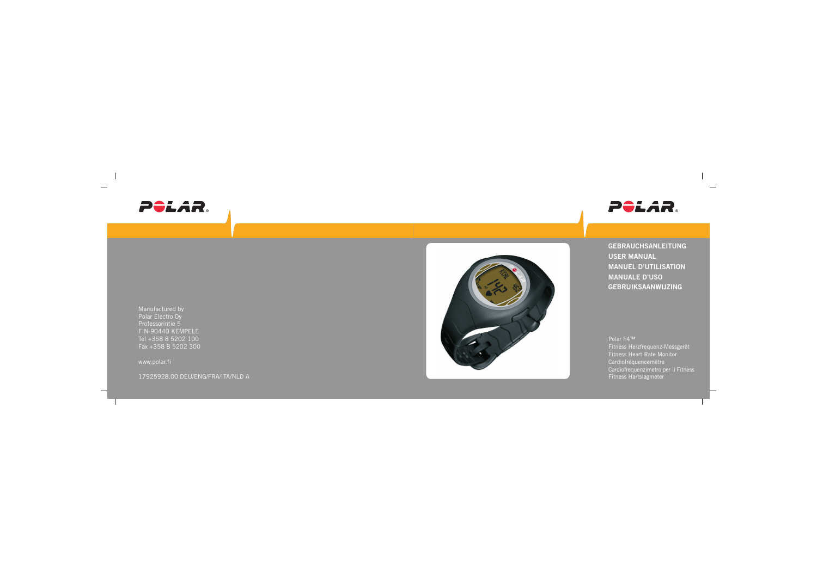



Manufactured by Polar Electro Oy Professorintie 5 FIN-90440 KEMPELE Tel +358 8 5202 100 Fax +358 8 5202 300

www.polar.fi

17925928.00 DEU/ENG/FRA/ITA/NLD A



**GEBRAUCHSANLEITUNG USER MANUAL MANUEL D'UTILISATION MANUALE D'USO GEBRUIKSAANWIJZING**

Polar F4™ Fitness Herzfrequenz-Messgerät Fitness Heart Rate Monitor Cardiofréquencemètre Cardiofrequenzimetro per il Fitness Fitness Hartslagmeter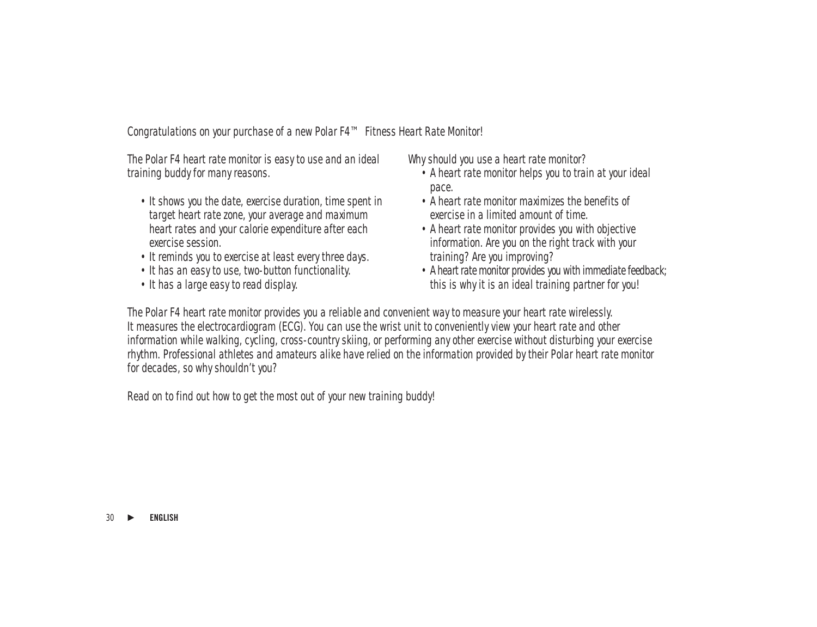Congratulations on your purchase of a new Polar F4™ Fitness Heart Rate Monitor!

The Polar F4 heart rate monitor is easy to use and an ideal training buddy for many reasons.

- It shows you the date, exercise duration, time spent in target heart rate zone, your average and maximum heart rates and your calorie expenditure after each exercise session.
- It reminds you to exercise at least every three days.
- It has an easy to use, two-button functionality.
- It has a large easy to read display.

Why should you use a heart rate monitor?

- A heart rate monitor helps you to train at your ideal pace.
- A heart rate monitor maximizes the benefits of exercise in a limited amount of time.
- A heart rate monitor provides you with objective information. Are you on the right track with your training? Are you improving?
- A heart rate monitor provides you with immediate feedback; this is why it is an ideal training partner for you!

The Polar F4 heart rate monitor provides you a reliable and convenient way to measure your heart rate wirelessly. It measures the electrocardiogram (ECG). You can use the wrist unit to conveniently view your heart rate and other information while walking, cycling, cross-country skiing, or performing any other exercise without disturbing your exercise rhythm. Professional athletes and amateurs alike have relied on the information provided by their Polar heart rate monitor for decades, so why shouldn't you?

Read on to find out how to get the most out of your new training buddy!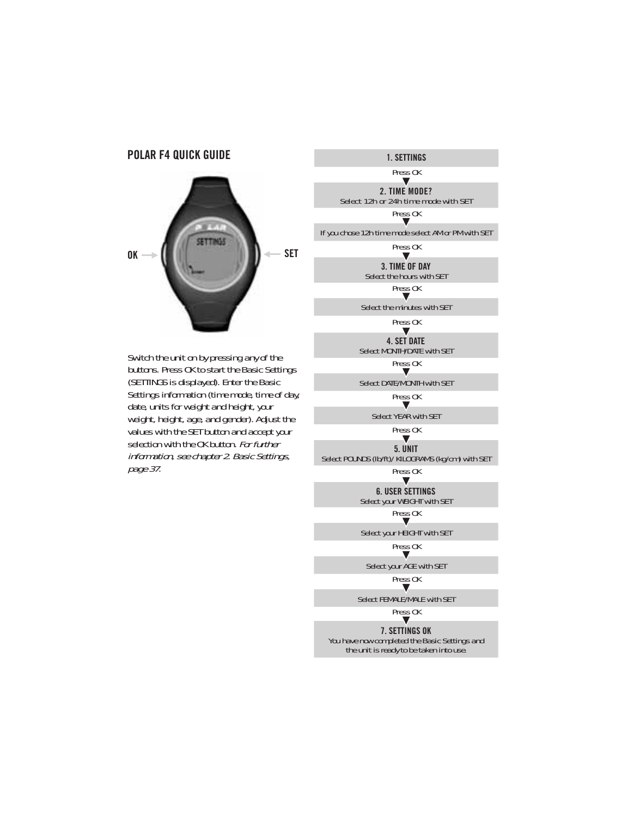### **POLAR F4 QUICK GUIDE**



Switch the unit on by pressing any of the buttons. Press OK to start the Basic Settings (SETTINGS is displayed). Enter the Basic Settings information (time mode, time of day, date, units for weight and height, your weight, height, age, and gender). Adjust the values with the SET button and accept your selection with the OK button. For further information, see chapter 2. Basic Settings, page 37.

**1. SETTINGS**

Press OK $\blacktriangledown$ 

**2. TIME MODE?** Select 12h or 24h time mode with SETPress OK

If you chose 12h time mode select AM or PM with SET

Press OK

 $\blacksquare$ **3. TIME OF DAY**Select the hours with SET

Press OK

Select the minutes with SET

Press OK $\overline{\mathbf{v}}$ 

**4. SET DATE**Select MONTH/DATE with SET

Press OK

Select DATE/MONTH with SET

Press OK

Select YEAR with SET

Press OK $\overline{\mathbf{v}}$ 

**5. UNIT**Select POUNDS (lb/ft)/ KILOGRAMS (kg/cm) with SET

Press OK $\blacksquare$ 

**6. USER SETTINGS**Select your WEIGHT with SET

Pre<u>ss</u> OK

Select your HEIGHT with SET

Press OK $\blacksquare$ 

Select your AGE with SET

Press OKv

Select FEMALE/MALE with SET

Pre<u>ss</u> OK

**7. SETTINGS OK**

You have now completed the Basic Settings and the unit is ready to be taken into use.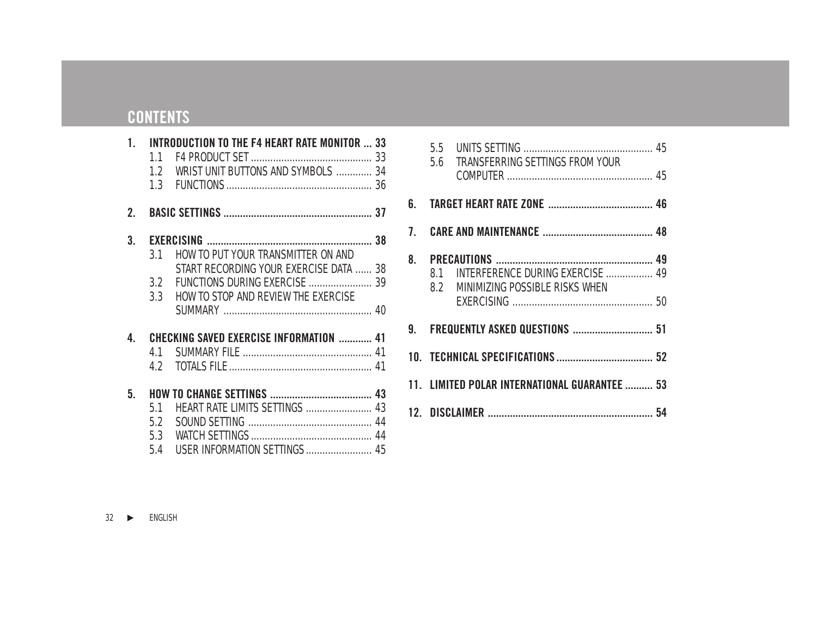# **CONTENTS**

|                  |     | 1. INTRODUCTION TO THE F4 HEART RATE MONITOR  33 |  |
|------------------|-----|--------------------------------------------------|--|
|                  | 11  |                                                  |  |
|                  |     | 1.2 WRIST UNIT BUTTONS AND SYMBOLS  34           |  |
|                  |     |                                                  |  |
| $\overline{2}$ . |     |                                                  |  |
| 3.               |     |                                                  |  |
|                  | 3.1 | HOW TO PUT YOUR TRANSMITTER ON AND               |  |
|                  |     | START RECORDING YOUR EXERCISE DATA  38           |  |
|                  |     |                                                  |  |
|                  |     | 3.3 HOW TO STOP AND REVIEW THE EXERCISE          |  |
|                  |     |                                                  |  |
| 4.               |     | <b>CHECKING SAVED EXERCISE INFORMATION  41</b>   |  |
|                  | 41  |                                                  |  |
|                  |     |                                                  |  |
| 5.               |     |                                                  |  |
|                  | 51  | <b>HEART RATE LIMITS SETTINGS  43</b>            |  |
|                  |     |                                                  |  |
|                  |     |                                                  |  |
|                  | 5.4 | USER INFORMATION SETTINGS  45                    |  |

|                                   | 5.6 TRANSFERRING SETTINGS FROM YOUR                                        |  |
|-----------------------------------|----------------------------------------------------------------------------|--|
|                                   |                                                                            |  |
|                                   |                                                                            |  |
|                                   | 8.1 INTERFERENCE DURING EXERCISE  49<br>8.2 MINIMIZING POSSIBLE RISKS WHEN |  |
| 9. FREQUENTLY ASKED QUESTIONS  51 |                                                                            |  |
|                                   |                                                                            |  |
|                                   | 11. LIMITED POLAR INTERNATIONAL GUARANTEE  53                              |  |
|                                   |                                                                            |  |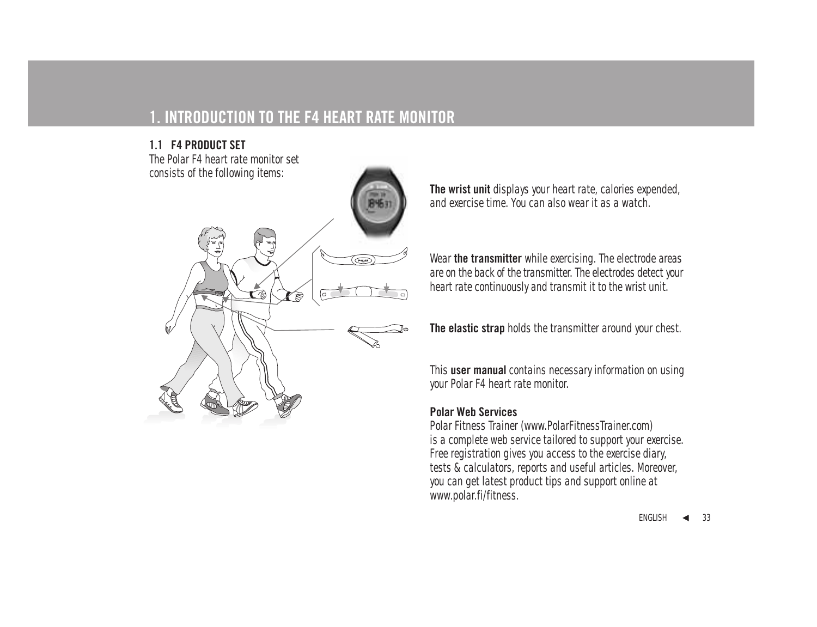# **1. INTRODUCTION TO THE F4 HEART RATE MONITOR**

## **1.1 F4 PRODUCT SET**

The Polar F4 heart rate monitor set consists of the following items:



**The wrist unit** displays your heart rate, calories expended, and exercise time. You can also wear it as a watch.

Wear **the transmitter** while exercising. The electrode areas are on the back of the transmitter. The electrodes detect your heart rate continuously and transmit it to the wrist unit.

**The elastic strap** holds the transmitter around your chest.

This **user manual** contains necessary information on using your Polar F4 heart rate monitor.

### **Polar Web Services**

Polar Fitness Trainer (www.PolarFitnessTrainer.com) is a complete web service tailored to support your exercise. Free registration gives you access to the exercise diary, tests & calculators, reports and useful articles. Moreover, you can get latest product tips and support online at www.polar.fi/fitness.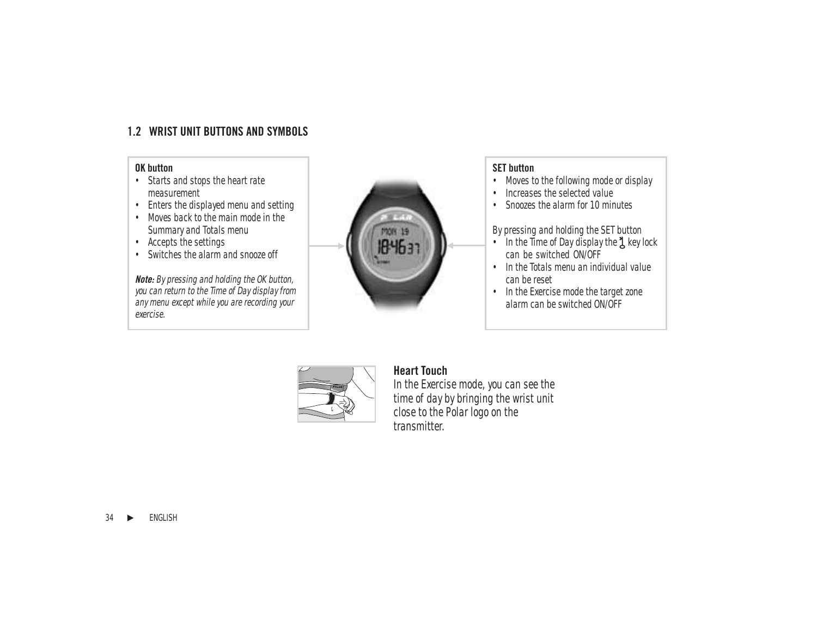## **1.2 WRIST UNIT BUTTONS AND SYMBOLS**

### **OK button**

- Starts and stops the heart rate measurement
- Enters the displayed menu and setting
- Moves back to the main mode in the Summary and Totals menu
- Accepts the settings
- Switches the alarm and snooze off

**Note:** By pressing and holding the OK button, you can return to the Time of Day display from any menu except while you are recording your exercise.



#### **SET button**

- Moves to the following mode or display
- Increases the selected value
- Snoozes the alarm for 10 minutes

By pressing and holding the SET button

- In the Time of Day display the  $\lambda$  key lock can be switched ON/OFF
- In the Totals menu an individual value can be reset
- In the Exercise mode the target zone alarm can be switched ON/OFF



## **Heart Touch**

In the Exercise mode, you can see the time of day by bringing the wrist unit close to the Polar logo on the transmitter.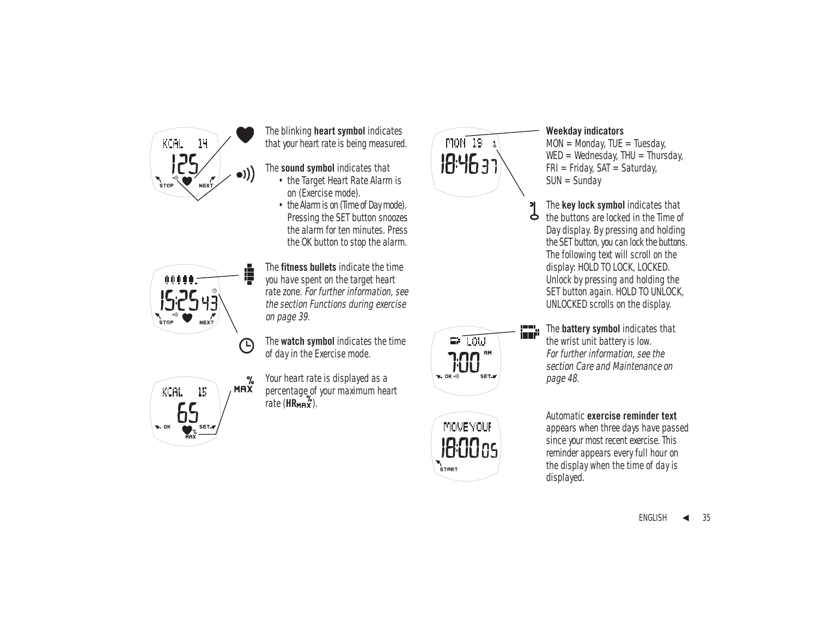

The blinking **heart symbol** indicates that your heart rate is being measured.

- The **sound symbol** indicates that
	- the Target Heart Rate Alarm is on (Exercise mode).
	- the Alarm is on (Time of Day mode). Pressing the SET button snoozes the alarm for ten minutes. Press the OK button to stop the alarm.



The **fitness bullets** indicate the time you have spent on the target heart rate zone. For further information, see the section Functions during exercise on page 39.

The **watch symbol** indicates the time of day in the Exercise mode.



%

Your heart rate is displayed as a percentage of your maximum heart rate  $(HR$ <sub>MAX</sub><sup>2</sup>.



 $\blacksquare$  LOW

**MOVE YOUR** 

18:00as  $\sum_{\text{c} \text{rad}}$ 

 $E = OK$ 

#### **Weekday indicators**

 $MON = Monday$ ,  $TUE = Tuesday$ .  $WED = Wednesday$ , THU = Thursday,  $FRI = Fridav$ ,  $SAT = Saturdav$ .  $SUN = Sundav$ 

The **key lock symbol** indicates that Þ the buttons are locked in the Time of Day display. By pressing and holding the SET button, you can lock the buttons. The following text will scroll on the display: HOLD TO LOCK, LOCKED. Unlock by pressing and holding the SET button again. HOLD TO UNLOCK, UNLOCKED scrolls on the display.

The **battery symbol** indicates that the wrist unit battery is low. For further information, see the section Care and Maintenance on page 48.

#### Automatic **exercise reminder text**

appears when three days have passed since your most recent exercise. This reminder appears every full hour on the display when the time of day is displayed.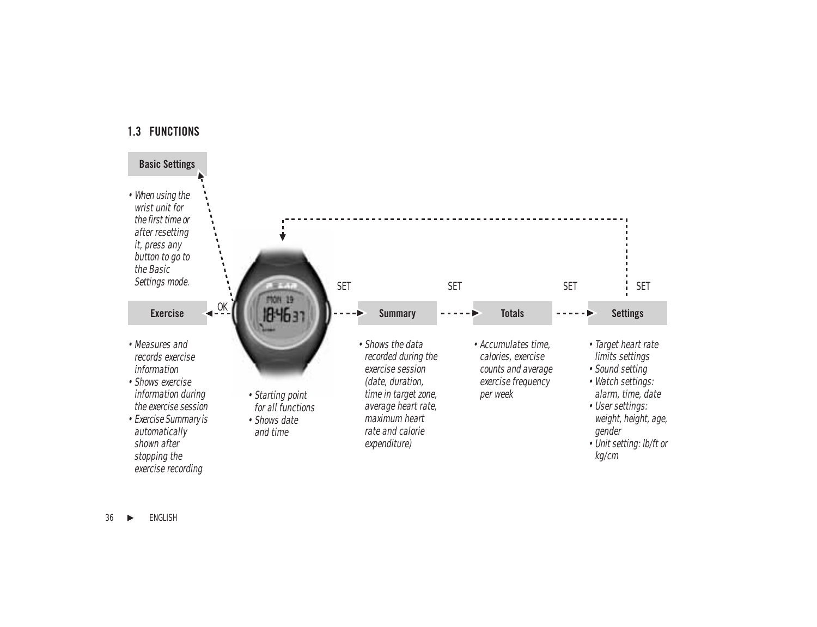### **1.3 FUNCTIONS**

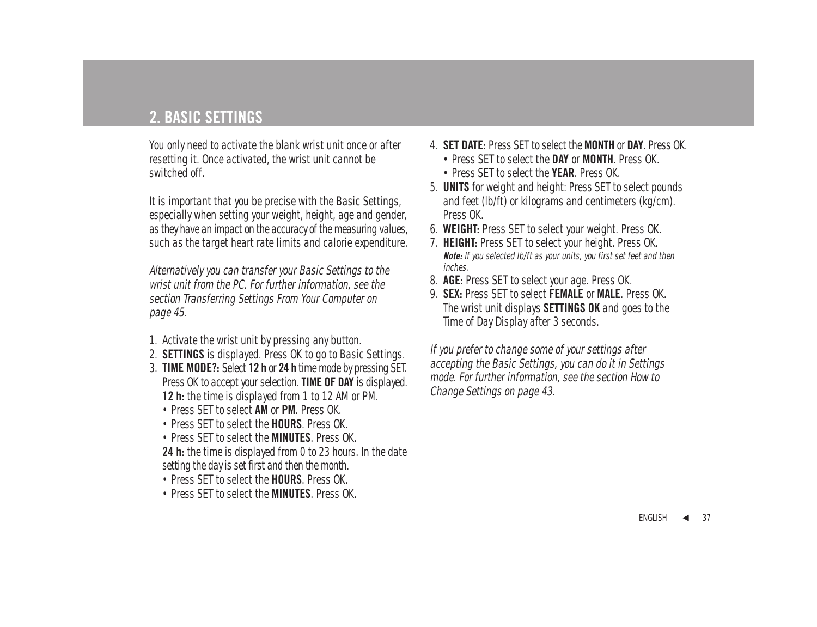# **2. BASIC SETTINGS**

You only need to activate the blank wrist unit once or after resetting it. Once activated, the wrist unit cannot be switched off.

It is important that you be precise with the Basic Settings, especially when setting your weight, height, age and gender, as they have an impact on the accuracy of the measuring values, such as the target heart rate limits and calorie expenditure.

Alternatively you can transfer your Basic Settings to the wrist unit from the PC. For further information, see the section Transferring Settings From Your Computer on page 45.

- 1. Activate the wrist unit by pressing any button.
- 2. **SETTINGS** is displayed. Press OK to go to Basic Settings.
- 3. **TIME MODE?:** Select **12 h** or **24 h** time mode by pressing SET. Press OK to accept your selection. **TIME OF DAY** is displayed. **12 h:** the time is displayed from 1 to 12 AM or PM.
	- Press SET to select **AM** or **PM**. Press OK.
	- Press SET to select the **HOURS**. Press OK.
	- Press SET to select the **MINUTES**. Press OK.
	- **24 h:** the time is displayed from 0 to 23 hours. In the date setting the day is set first and then the month.
	- Press SET to select the **HOURS**. Press OK.
	- Press SET to select the **MINUTES**. Press OK.
- 4. **SET DATE:** Press SET to select the **MONTH** or **DAY**. Press OK.
	- Press SET to select the **DAY** or **MONTH**. Press OK.
	- Press SET to select the **YEAR**. Press OK.
- 5. **UNITS** for weight and height: Press SET to select pounds and feet (lb/ft) or kilograms and centimeters (kg/cm). Press OK.
- 6. **WEIGHT:** Press SET to select your weight. Press OK.
- 7. **HEIGHT:** Press SET to select your height. Press OK. **Note:** If you selected lb/ft as your units, you first set feet and then inches.
- 8. **AGE:** Press SET to select your age. Press OK.
- 9. **SEX:** Press SET to select **FEMALE** or **MALE**. Press OK. The wrist unit displays **SETTINGS OK** and goes to the Time of Day Display after 3 seconds.

If you prefer to change some of your settings after accepting the Basic Settings, you can do it in Settings mode. For further information, see the section How to Change Settings on page 43.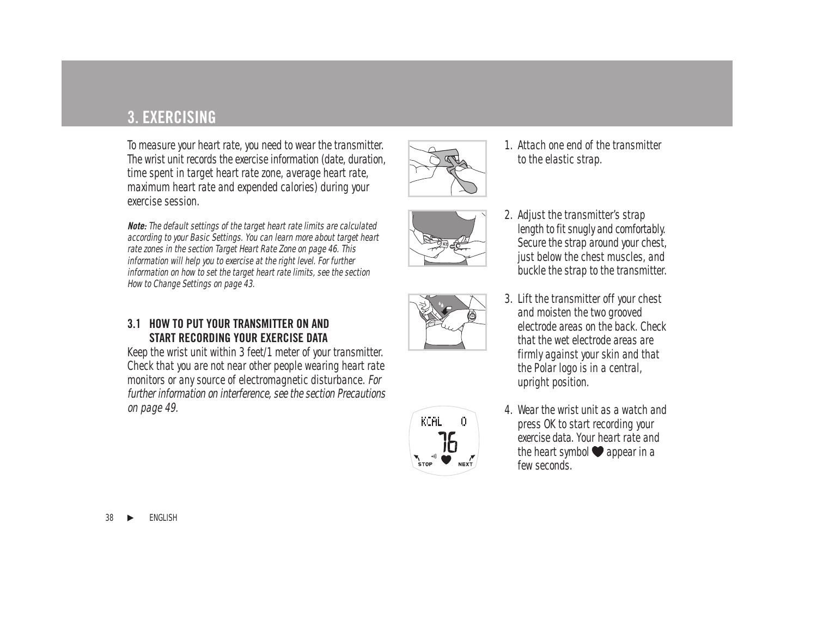# **3. EXERCISING**

To measure your heart rate, you need to wear the transmitter. The wrist unit records the exercise information (date, duration, time spent in target heart rate zone, average heart rate, maximum heart rate and expended calories) during your exercise session.

**Note:** The default settings of the target heart rate limits are calculated according to your Basic Settings. You can learn more about target heart rate zones in the section Target Heart Rate Zone on page 46. This information will help you to exercise at the right level. For further information on how to set the target heart rate limits, see the section How to Change Settings on page 43.

### **3.1 HOW TO PUT YOUR TRANSMITTER ON AND START RECORDING YOUR EXERCISE DATA**

Keep the wrist unit within 3 feet/1 meter of your transmitter. Check that you are not near other people wearing heart rate monitors or any source of electromagnetic disturbance. For further information on interference, see the section Precautions on page 49.







- 1. Attach one end of the transmitter to the elastic strap.
- 2. Adjust the transmitter's strap length to fit snugly and comfortably. Secure the strap around your chest, just below the chest muscles, and buckle the strap to the transmitter.
- 3. Lift the transmitter off your chest and moisten the two grooved electrode areas on the back. Check that the wet electrode areas are firmly against your skin and that the Polar logo is in a central, upright position.
- 4. Wear the wrist unit as a watch and press OK to start recording your exercise data. Your heart rate and the heart symbol  $\bullet$  appear in a few seconds.



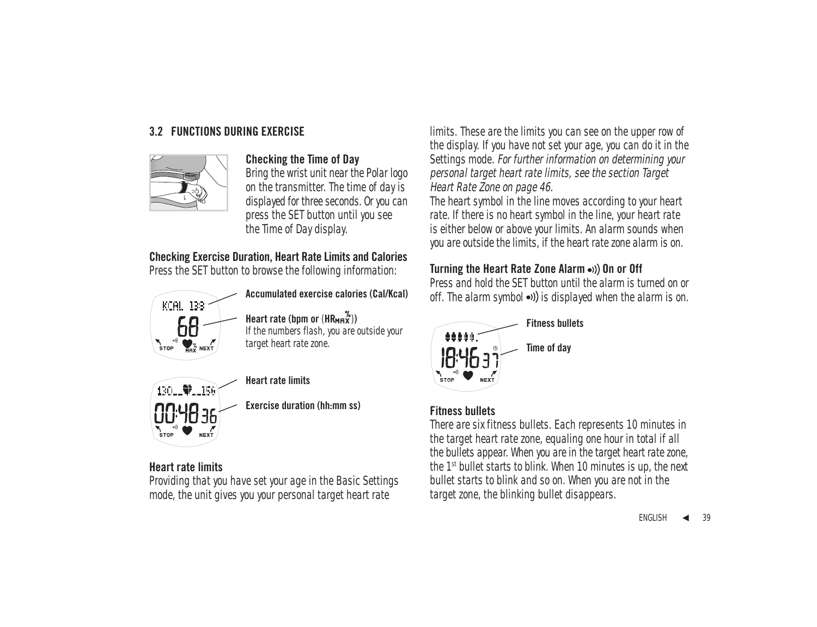## **3.2 FUNCTIONS DURING EXERCISE**



### **Checking the Time of Day**

Bring the wrist unit near the Polar logo on the transmitter. The time of day is displayed for three seconds. Or you can press the SET button until you see the Time of Day display.

## **Checking Exercise Duration, Heart Rate Limits and Calories**

Press the SET button to browse the following information:



**Accumulated exercise calories (Cal/Kcal)**

**Heart rate (bpm or**  $(HR_{MR}x^{\%}))$ 

If the numbers flash, you are outside your target heart rate zone.



### **Heart rate limits**

**Exercise duration (hh:mm ss)**

## **Heart rate limits**

Providing that you have set your age in the Basic Settings mode, the unit gives you your personal target heart rate

limits. These are the limits you can see on the upper row of the display. If you have not set your age, you can do it in the Settings mode. For further information on determining your personal target heart rate limits, see the section Target Heart Rate Zone on page 46.

The heart symbol in the line moves according to your heart rate. If there is no heart symbol in the line, your heart rate is either below or above your limits. An alarm sounds when you are outside the limits, if the heart rate zone alarm is on.

## **Turning the Heart Rate Zone Alarm ...**) On or Off

Press and hold the SET button until the alarm is turned on or off. The alarm symbol  $\bullet$ )) is displayed when the alarm is on.



## **Fitness bullets**

There are six fitness bullets. Each represents 10 minutes in the target heart rate zone, equaling one hour in total if all the bullets appear. When you are in the target heart rate zone, the 1st bullet starts to blink. When 10 minutes is up, the next bullet starts to blink and so on. When you are not in the target zone, the blinking bullet disappears.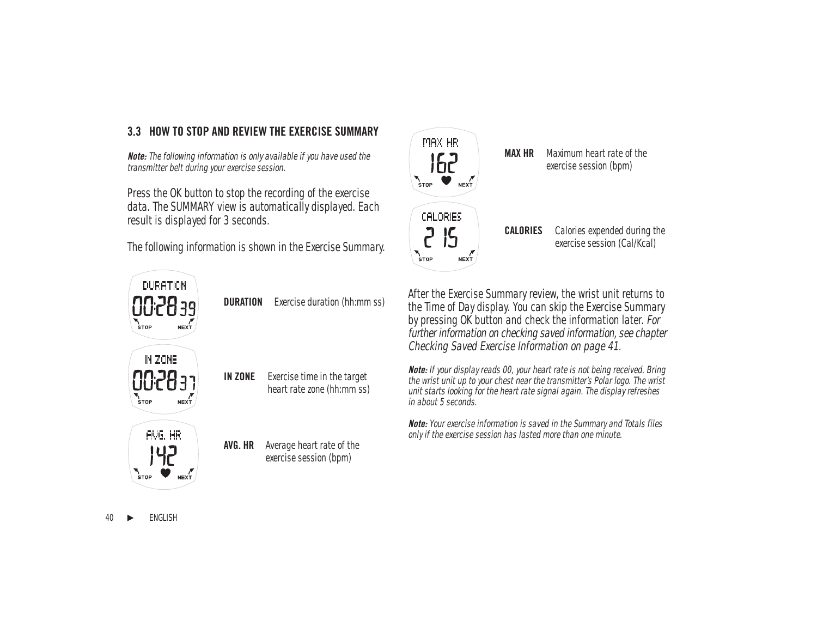## **3.3 HOW TO STOP AND REVIEW THE EXERCISE SUMMARY**

**Note:** The following information is only available if you have used the transmitter belt during your exercise session.

Press the OK button to stop the recording of the exercise data. The SUMMARY view is automatically displayed. Each result is displayed for 3 seconds.

The following information is shown in the Exercise Summary.



**DURATION** Exercise duration (hh:mm ss)

**IN ZONE** Exercise time in the target heart rate zone (hh:mm ss)

**AVG. HR** Average heart rate of the exercise session (bpm)



**MAX HR** Maximum heart rate of the exercise session (bpm)

**CALORIES** Calories expended during the exercise session (Cal/Kcal)

After the Exercise Summary review, the wrist unit returns to the Time of Day display. You can skip the Exercise Summary by pressing OK button and check the information later. For further information on checking saved information, see chapter Checking Saved Exercise Information on page 41.

**Note:** If your display reads 00, your heart rate is not being received. Bring the wrist unit up to your chest near the transmitter's Polar logo. The wrist unit starts looking for the heart rate signal again. The display refreshes in about 5 seconds.

**Note:** Your exercise information is saved in the Summary and Totals files only if the exercise session has lasted more than one minute.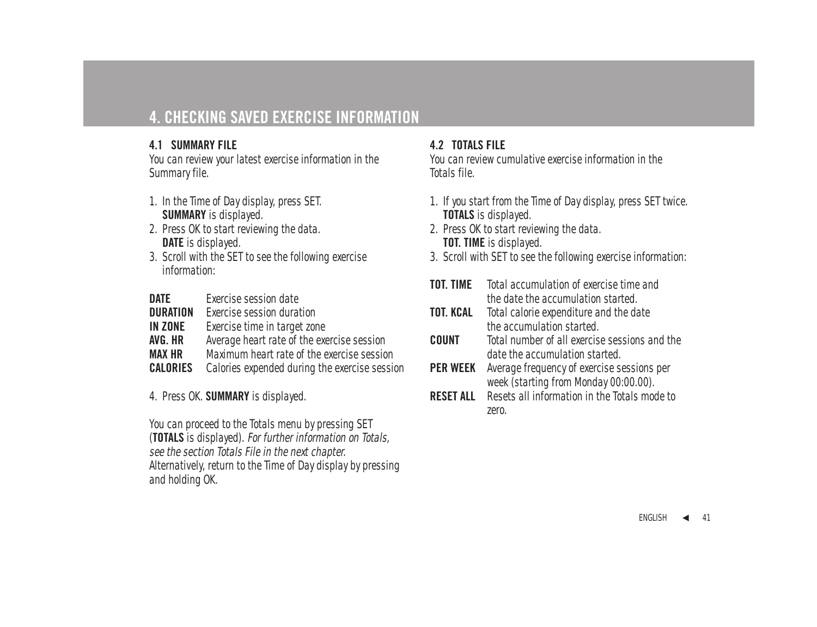# **4. CHECKING SAVED EXERCISE INFORMATION**

## **4.1 SUMMARY FILE**

You can review your latest exercise information in the Summary file.

- 1. In the Time of Day display, press SET. **SUMMARY** is displayed.
- 2. Press OK to start reviewing the data. **DATE** is displayed.
- 3. Scroll with the SET to see the following exercise information:
- **DATE** Exercise session date
- **DURATION** Exercise session duration<br>**IN ZONE** Exercise time in target zor
- **Exercise time in target zone**
- **AVG. HR** Average heart rate of the exercise session
- **MAX HR** Maximum heart rate of the exercise session<br>**CALORIES** Calories expended during the exercise session
- Calories expended during the exercise session

4. Press OK. **SUMMARY** is displayed.

You can proceed to the Totals menu by pressing SET (**TOTALS** is displayed). For further information on Totals, see the section Totals File in the next chapter. Alternatively, return to the Time of Day display by pressing and holding OK.

## **4.2 TOTALS FILE**

You can review cumulative exercise information in the Totals file.

- 1. If you start from the Time of Day display, press SET twice. **TOTALS** is displayed.
- 2. Press OK to start reviewing the data. **TOT. TIME** is displayed.
- 3. Scroll with SET to see the following exercise information:
- **TOT. TIME** Total accumulation of exercise time and the date the accumulation started.
- **TOT. KCAL** Total calorie expenditure and the date the accumulation started.
- **COUNT** Total number of all exercise sessions and the date the accumulation started.
- **PER WEEK** Average frequency of exercise sessions per week (starting from Monday 00:00.00).
- **RESET ALL** Resets all information in the Totals mode to zero.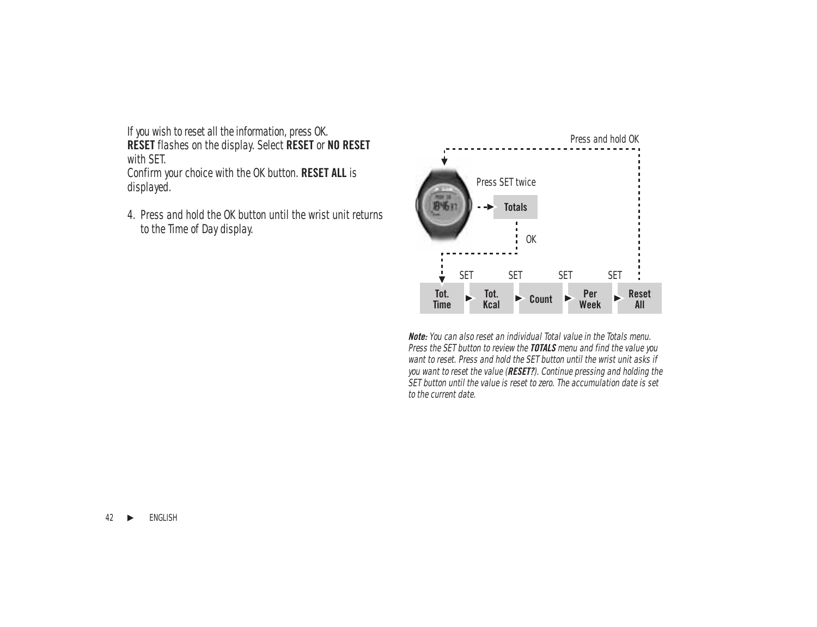If you wish to reset all the information, press OK. **RESET** flashes on the display. Select **RESET** or **NO RESET** with SET.

Confirm your choice with the OK button. **RESET ALL** is displayed.

4. Press and hold the OK button until the wrist unit returns to the Time of Day display.



**Note:** You can also reset an individual Total value in the Totals menu. Press the SET button to review the **TOTALS** menu and find the value you want to reset. Press and hold the SET button until the wrist unit asks if you want to reset the value (**RESET?**). Continue pressing and holding the SET button until the value is reset to zero. The accumulation date is set to the current date.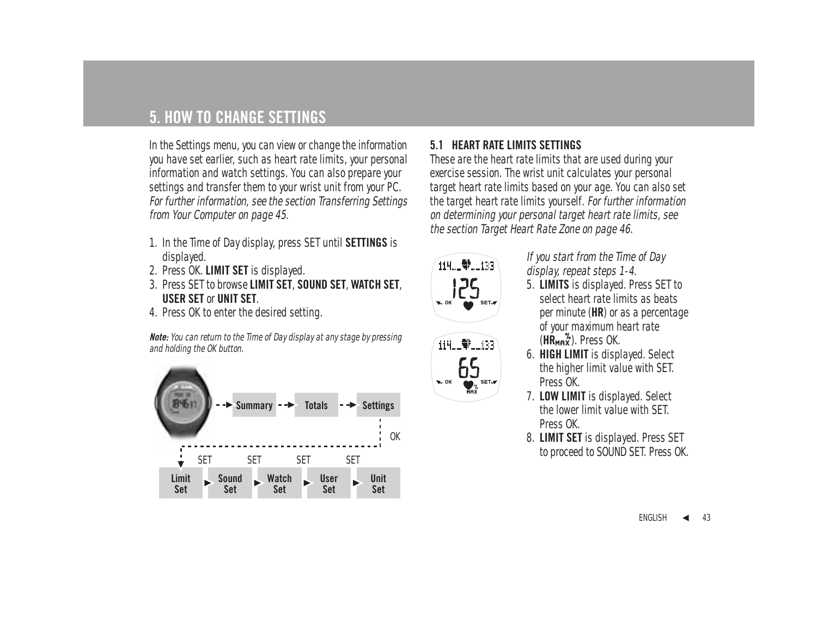# **5. HOW TO CHANGE SETTINGS**

In the Settings menu, you can view or change the information you have set earlier, such as heart rate limits, your personal information and watch settings. You can also prepare your settings and transfer them to your wrist unit from your PC. For further information, see the section Transferring Settings from Your Computer on page 45.

- 1. In the Time of Day display, press SET until **SETTINGS** is displayed.
- 2. Press OK. **LIMIT SET** is displayed.
- 3. Press SET to browse **LIMIT SET**, **SOUND SET**, **WATCH SET**, **USER SET** or **UNIT SET**.
- 4. Press OK to enter the desired setting.

**Note:** You can return to the Time of Day display at any stage by pressing and holding the OK button.



# **5.1 HEART RATE LIMITS SETTINGS**

These are the heart rate limits that are used during your exercise session. The wrist unit calculates your personal target heart rate limits based on your age. You can also set the target heart rate limits yourself. For further information on determining your personal target heart rate limits, see the section Target Heart Rate Zone on page 46.



114. 单. 133

SET.#

 $\star$  OK

## If you start from the Time of Day display, repeat steps 1-4.

- 5. **LIMITS** is displayed. Press SET to select heart rate limits as beats per minute (**HR**) or as a percentage of your maximum heart rate (HR<sub>MAX</sub><sup>%</sup>). Press OK.
- 6. **HIGH LIMIT** is displayed. Select the higher limit value with SET. Press OK.
- 7. **LOW LIMIT** is displayed. Select the lower limit value with SET. Press OK.
- 8. **LIMIT SET** is displayed. Press SET to proceed to SOUND SET. Press OK.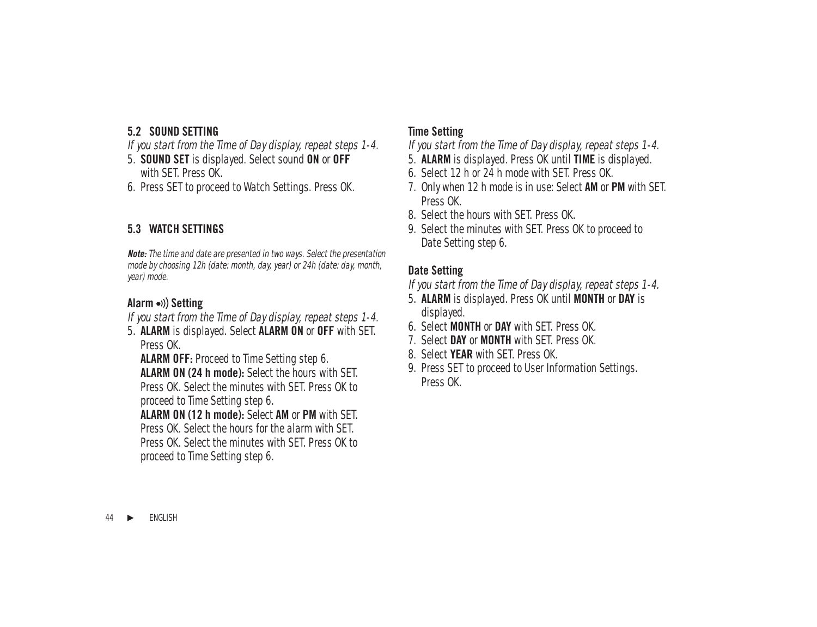## **5.2 SOUND SETTING**

If you start from the Time of Day display, repeat steps 1-4.

- 5. **SOUND SET** is displayed. Select sound **ON** or **OFF** with SET. Press OK
- 6. Press SET to proceed to Watch Settings. Press OK.

## **5.3 WATCH SETTINGS**

**Note:** The time and date are presented in two ways. Select the presentation mode by choosing 12h (date: month, day, year) or 24h (date: day, month, year) mode.

# Alarm •)) Setting

If you start from the Time of Day display, repeat steps 1-4.

5. **ALARM** is displayed. Select **ALARM ON** or **OFF** with SET. Press OK.

**ALARM OFF:** Proceed to Time Setting step 6. **ALARM ON (24 h mode):** Select the hours with SET. Press OK. Select the minutes with SET. Press OK to proceed to Time Setting step 6.

**ALARM ON (12 h mode):** Select **AM** or **PM** with SET. Press OK. Select the hours for the alarm with SET. Press OK. Select the minutes with SET. Press OK to proceed to Time Setting step 6.

## **Time Setting**

If you start from the Time of Day display, repeat steps 1-4.

- 5. **ALARM** is displayed. Press OK until **TIME** is displayed.
- 6. Select 12 h or 24 h mode with SET. Press OK.
- 7. Only when 12 h mode is in use: Select **AM** or **PM** with SET. Press OK
- 8. Select the hours with SET. Press OK.
- 9. Select the minutes with SET. Press OK to proceed to Date Setting step 6.

## **Date Setting**

If you start from the Time of Day display, repeat steps 1-4.

- 5. **ALARM** is displayed. Press OK until **MONTH** or **DAY** is displayed.
- 6. Select **MONTH** or **DAY** with SET. Press OK.
- 7. Select **DAY** or **MONTH** with SET. Press OK.
- 8. Select **YEAR** with SET. Press OK.
- 9. Press SET to proceed to User Information Settings. Press OK.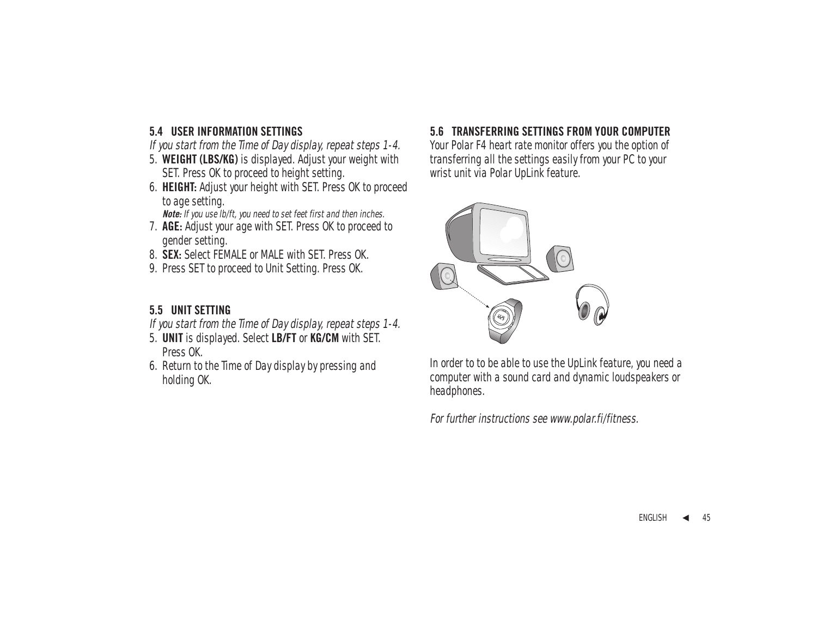## **5.4 USER INFORMATION SETTINGS**

If you start from the Time of Day display, repeat steps 1-4.

- 5. **WEIGHT (LBS/KG)** is displayed. Adjust your weight with SET. Press OK to proceed to height setting.
- 6. **HEIGHT:** Adjust your height with SET. Press OK to proceed to age setting.

**Note:** If you use lb/ft, you need to set feet first and then inches.

- 7. **AGE:** Adjust your age with SET. Press OK to proceed to gender setting.
- 8. **SEX:** Select FEMALE or MALE with SET. Press OK.
- 9. Press SET to proceed to Unit Setting. Press OK.

# **5.5 UNIT SETTING**

If you start from the Time of Day display, repeat steps 1-4.

- 5. **UNIT** is displayed. Select **LB/FT** or **KG/CM** with SET. Press OK.
- 6. Return to the Time of Day display by pressing and holding OK.

## **5.6 TRANSFERRING SETTINGS FROM YOUR COMPUTER**

Your Polar F4 heart rate monitor offers you the option of transferring all the settings easily from your PC to your wrist unit via Polar UpLink feature.



In order to to be able to use the UpLink feature, you need a computer with a sound card and dynamic loudspeakers or headphones.

For further instructions see www.polar.fi/fitness.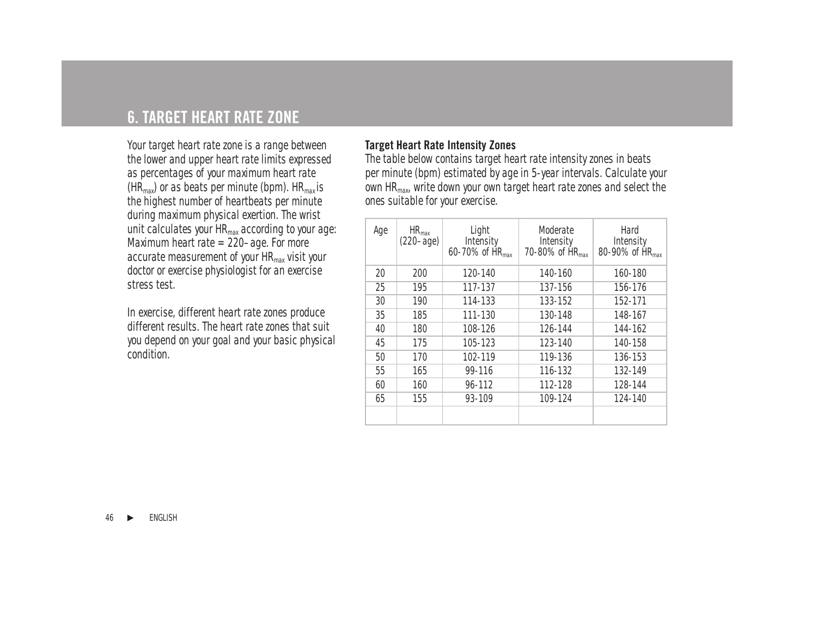# **6. TARGET HEART RATE ZONE**

Your target heart rate zone is a range between the lower and upper heart rate limits expressed as percentages of your maximum heart rate  $(HR<sub>max</sub>)$  or as beats per minute (bpm).  $HR<sub>max</sub>$  is the highest number of heartbeats per minute during maximum physical exertion. The wrist unit calculates your HR<sub>max</sub> according to your age: Maximum heart rate = 220–age. For more accurate measurement of your HR<sub>max</sub> visit your doctor or exercise physiologist for an exercise stress test.

In exercise, different heart rate zones produce different results. The heart rate zones that suit you depend on your goal and your basic physical condition.

## **Target Heart Rate Intensity Zones**

The table below contains target heart rate intensity zones in beats per minute (bpm) estimated by age in 5-year intervals. Calculate your own HRmax, write down your own target heart rate zones and select the ones suitable for your exercise.

| Age | $HR_{max}$<br>$(220 - aqe)$ | Light<br>Intensity<br>60-70% of HR <sub>max</sub> | Moderate<br>Intensity<br>70-80% of HR <sub>max</sub> | Hard<br>Intensity<br>80-90% of HR <sub>max</sub> |
|-----|-----------------------------|---------------------------------------------------|------------------------------------------------------|--------------------------------------------------|
| 20  | 200                         | $120 - 140$                                       | 140-160                                              | 160-180                                          |
| 25  | 195                         | 117-137                                           | 137-156                                              | 156-176                                          |
| 30  | 190                         | 114-133                                           | 133-152                                              | 152-171                                          |
| 35  | 185                         | 111-130                                           | 130-148                                              | 148-167                                          |
| 40  | 180                         | 108-126                                           | 126-144                                              | 144-162                                          |
| 45  | 175                         | 105-123                                           | 123-140                                              | 140-158                                          |
| 50  | 170                         | 102-119                                           | 119-136                                              | 136-153                                          |
| 55  | 165                         | 99-116                                            | 116-132                                              | 132-149                                          |
| 60  | 160                         | 96-112                                            | 112-128                                              | 128-144                                          |
| 65  | 155                         | 93-109                                            | 109-124                                              | 124-140                                          |
|     |                             |                                                   |                                                      |                                                  |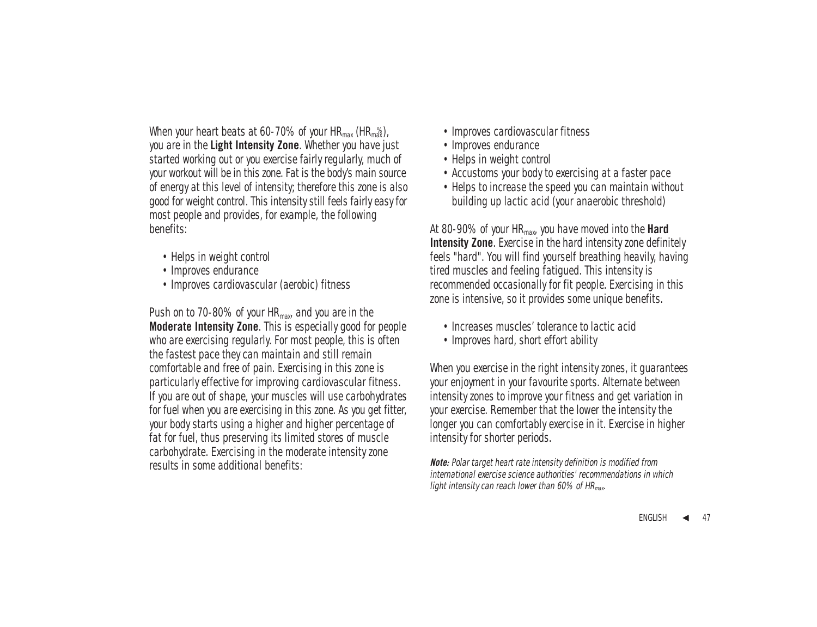When your heart beats at 60-70% of your  $HR_{max}$  ( $HR_{max}$ ), you are in the **Light Intensity Zone**. Whether you have just started working out or you exercise fairly regularly, much of your workout will be in this zone. Fat is the body's main source of energy at this level of intensity; therefore this zone is also good for weight control. This intensity still feels fairly easy for most people and provides, for example, the following benefits:

- Helps in weight control
- Improves endurance
- Improves cardiovascular (aerobic) fitness

Push on to 70-80% of your  $HR_{max}$  and you are in the **Moderate Intensity Zone**. This is especially good for people who are exercising regularly. For most people, this is often the fastest pace they can maintain and still remain comfortable and free of pain. Exercising in this zone is particularly effective for improving cardiovascular fitness. If you are out of shape, your muscles will use carbohydrates for fuel when you are exercising in this zone. As you get fitter, your body starts using a higher and higher percentage of fat for fuel, thus preserving its limited stores of muscle carbohydrate. Exercising in the moderate intensity zone results in some additional benefits:

- Improves cardiovascular fitness
- Improves endurance
- Helps in weight control
- Accustoms your body to exercising at a faster pace
- Helps to increase the speed you can maintain without building up lactic acid (your anaerobic threshold)

At 80-90% of your HRmax, you have moved into the **Hard Intensity Zone**. Exercise in the hard intensity zone definitely feels "hard". You will find yourself breathing heavily, having tired muscles and feeling fatigued. This intensity is recommended occasionally for fit people. Exercising in this zone is intensive, so it provides some unique benefits.

- Increases muscles' tolerance to lactic acid
- Improves hard, short effort ability

When you exercise in the right intensity zones, it guarantees your enjoyment in your favourite sports. Alternate between intensity zones to improve your fitness and get variation in your exercise. Remember that the lower the intensity the longer you can comfortably exercise in it. Exercise in higher intensity for shorter periods.

**Note:** Polar target heart rate intensity definition is modified from international exercise science authorities' recommendations in which light intensity can reach lower than 60% of  $HR_{\text{max}}$ .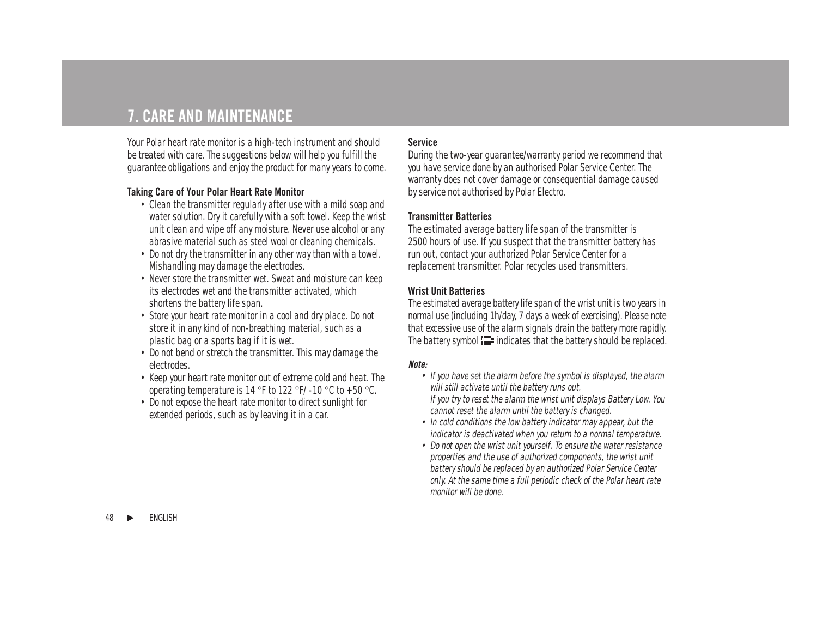# **7. CARE AND MAINTENANCE**

Your Polar heart rate monitor is a high-tech instrument and should be treated with care. The suggestions below will help you fulfill the guarantee obligations and enjoy the product for many years to come.

### **Taking Care of Your Polar Heart Rate Monitor**

- Clean the transmitter regularly after use with a mild soap and water solution. Dry it carefully with a soft towel. Keep the wrist unit clean and wipe off any moisture. Never use alcohol or any abrasive material such as steel wool or cleaning chemicals.
- Do not dry the transmitter in any other way than with a towel. Mishandling may damage the electrodes.
- Never store the transmitter wet. Sweat and moisture can keep its electrodes wet and the transmitter activated, which shortens the battery life span.
- Store your heart rate monitor in a cool and dry place. Do not store it in any kind of non-breathing material, such as a plastic bag or a sports bag if it is wet.
- Do not bend or stretch the transmitter. This may damage the electrodes.
- Keep your heart rate monitor out of extreme cold and heat. The operating temperature is 14 °F to 122 °F/ -10 °C to +50 °C.
- Do not expose the heart rate monitor to direct sunlight for extended periods, such as by leaving it in a car.

### **Service**

During the two-year guarantee/warranty period we recommend that you have service done by an authorised Polar Service Center. The warranty does not cover damage or consequential damage caused by service not authorised by Polar Electro.

#### **Transmitter Batteries**

The estimated average battery life span of the transmitter is 2500 hours of use. If you suspect that the transmitter battery has run out, contact your authorized Polar Service Center for a replacement transmitter. Polar recycles used transmitters.

### **Wrist Unit Batteries**

The estimated average battery life span of the wrist unit is two years in normal use (including 1h/day, 7 days a week of exercising). Please note that excessive use of the alarm signals drain the battery more rapidly. The battery symbol  $\blacksquare$  indicates that the battery should be replaced.

#### **Note:**

• If you have set the alarm before the symbol is displayed, the alarm will still activate until the battery runs out.

If you try to reset the alarm the wrist unit displays Battery Low. You cannot reset the alarm until the battery is changed.

- In cold conditions the low battery indicator may appear, but the indicator is deactivated when you return to a normal temperature.
- Do not open the wrist unit yourself. To ensure the water resistance properties and the use of authorized components, the wrist unit battery should be replaced by an authorized Polar Service Center only. At the same time a full periodic check of the Polar heart rate monitor will be done.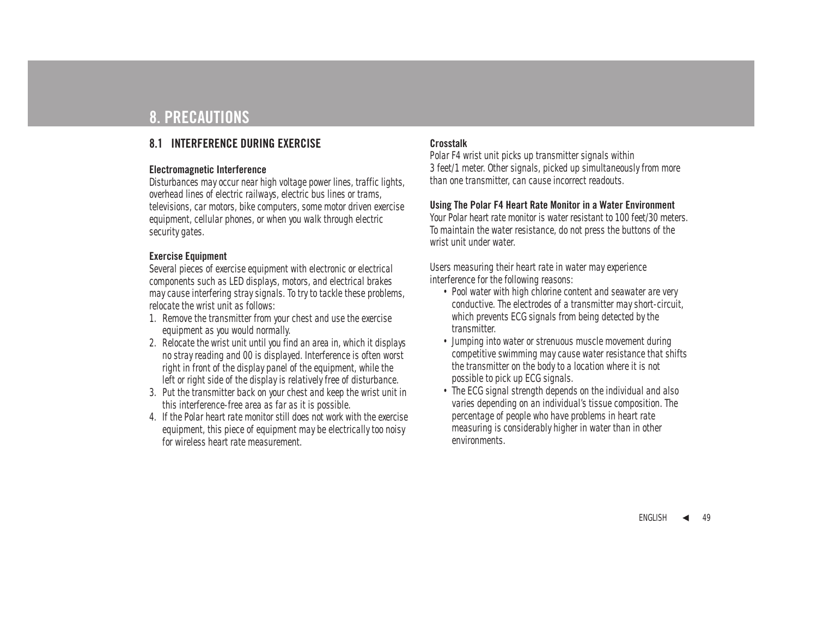# **8. PRECAUTIONS**

## **8.1 INTERFERENCE DURING EXERCISE**

#### **Electromagnetic Interference**

Disturbances may occur near high voltage power lines, traffic lights, overhead lines of electric railways, electric bus lines or trams, televisions, car motors, bike computers, some motor driven exercise equipment, cellular phones, or when you walk through electric security gates.

### **Exercise Equipment**

Several pieces of exercise equipment with electronic or electrical components such as LED displays, motors, and electrical brakes may cause interfering stray signals. To try to tackle these problems, relocate the wrist unit as follows:

- 1. Remove the transmitter from your chest and use the exercise equipment as you would normally.
- 2. Relocate the wrist unit until you find an area in, which it displays no stray reading and 00 is displayed. Interference is often worst right in front of the display panel of the equipment, while the left or right side of the display is relatively free of disturbance.
- 3. Put the transmitter back on your chest and keep the wrist unit in this interference-free area as far as it is possible.
- 4. If the Polar heart rate monitor still does not work with the exercise equipment, this piece of equipment may be electrically too noisy for wireless heart rate measurement.

### **Crosstalk**

Polar F4 wrist unit picks up transmitter signals within 3 feet/1 meter. Other signals, picked up simultaneously from more than one transmitter, can cause incorrect readouts.

#### **Using The Polar F4 Heart Rate Monitor in a Water Environment**

Your Polar heart rate monitor is water resistant to 100 feet/30 meters. To maintain the water resistance, do not press the buttons of the wrist unit under water.

Users measuring their heart rate in water may experience interference for the following reasons:

- Pool water with high chlorine content and seawater are very conductive. The electrodes of a transmitter may short-circuit, which prevents ECG signals from being detected by the transmitter.
- Jumping into water or strenuous muscle movement during competitive swimming may cause water resistance that shifts the transmitter on the body to a location where it is not possible to pick up ECG signals.
- The ECG signal strength depends on the individual and also varies depending on an individual's tissue composition. The percentage of people who have problems in heart rate measuring is considerably higher in water than in other environments.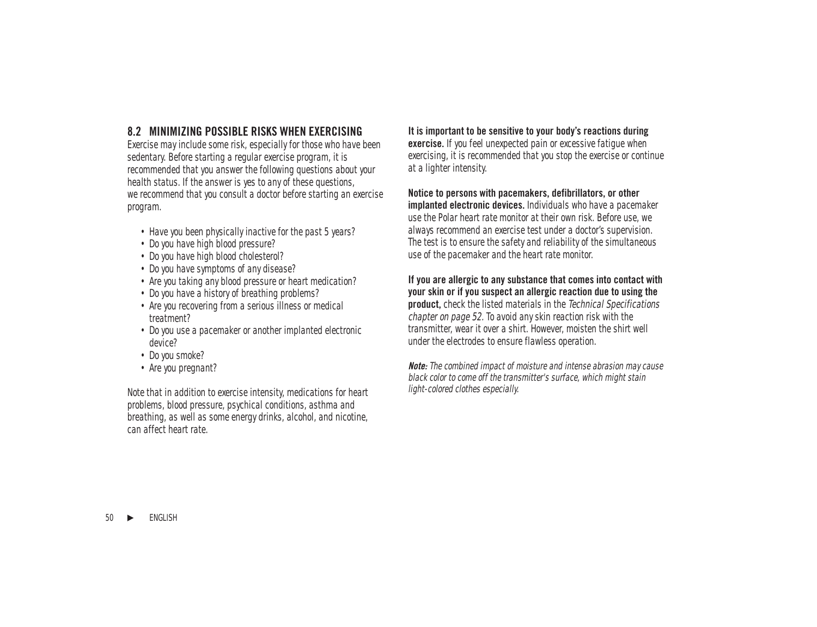## **8.2 MINIMIZING POSSIBLE RISKS WHEN EXERCISING**

Exercise may include some risk, especially for those who have been sedentary. Before starting a regular exercise program, it is recommended that you answer the following questions about your health status. If the answer is yes to any of these questions, we recommend that you consult a doctor before starting an exercise program.

- Have you been physically inactive for the past 5 years?
- Do you have high blood pressure?
- Do you have high blood cholesterol?
- Do you have symptoms of any disease?
- Are you taking any blood pressure or heart medication?
- Do you have a history of breathing problems?
- Are you recovering from a serious illness or medical treatment?
- Do you use a pacemaker or another implanted electronic device?
- Do you smoke?
- Are you pregnant?

Note that in addition to exercise intensity, medications for heart problems, blood pressure, psychical conditions, asthma and breathing, as well as some energy drinks, alcohol, and nicotine, can affect heart rate.

**It is important to be sensitive to your body's reactions during exercise.** If you feel unexpected pain or excessive fatigue when exercising, it is recommended that you stop the exercise or continue at a lighter intensity.

#### **Notice to persons with pacemakers, defibrillators, or other implanted electronic devices.** Individuals who have a pacemaker use the Polar heart rate monitor at their own risk. Before use, we always recommend an exercise test under a doctor's supervision. The test is to ensure the safety and reliability of the simultaneous use of the pacemaker and the heart rate monitor.

#### **If you are allergic to any substance that comes into contact with your skin or if you suspect an allergic reaction due to using the product,** check the listed materials in the Technical Specifications chapter on page 52. To avoid any skin reaction risk with the

transmitter, wear it over a shirt. However, moisten the shirt well under the electrodes to ensure flawless operation.

**Note:** The combined impact of moisture and intense abrasion may cause black color to come off the transmitter's surface, which might stain light-colored clothes especially.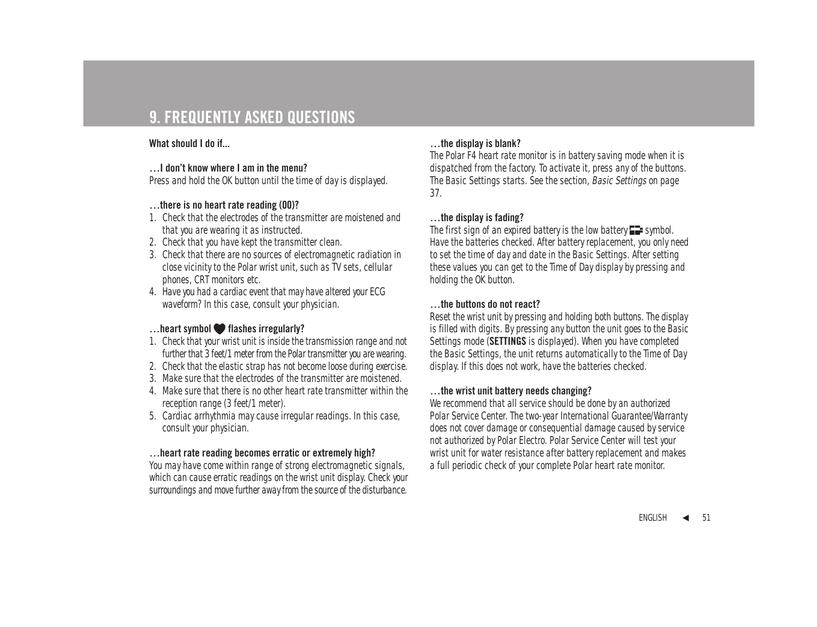# **9. FREQUENTLY ASKED QUESTIONS**

#### **What should I do if...**

#### **…I don't know where I am in the menu?**

Press and hold the OK button until the time of day is displayed.

### **…there is no heart rate reading (00)?**

- 1. Check that the electrodes of the transmitter are moistened and that you are wearing it as instructed.
- 2. Check that you have kept the transmitter clean.
- 3. Check that there are no sources of electromagnetic radiation in close vicinity to the Polar wrist unit, such as TV sets, cellular phones, CRT monitors etc.
- 4. Have you had a cardiac event that may have altered your ECG waveform? In this case, consult your physician.

## **…heart symbol flashes irregularly?**

- 1. Check that your wrist unit is inside the transmission range and not further that 3 feet/1 meter from the Polar transmitter you are wearing.
- 2. Check that the elastic strap has not become loose during exercise.
- 3. Make sure that the electrodes of the transmitter are moistened.
- 4. Make sure that there is no other heart rate transmitter within the reception range (3 feet/1 meter).
- 5. Cardiac arrhythmia may cause irregular readings. In this case, consult your physician.

#### **…heart rate reading becomes erratic or extremely high?**

You may have come within range of strong electromagnetic signals, which can cause erratic readings on the wrist unit display. Check your surroundings and move further away from the source of the disturbance.

#### **…the display is blank?**

The Polar F4 heart rate monitor is in battery saving mode when it is dispatched from the factory. To activate it, press any of the buttons. The Basic Settings starts. See the section, Basic Settings on page 37.

### **…the display is fading?**

The first sign of an expired battery is the low battery  $\blacksquare$  symbol. Have the batteries checked. After battery replacement, you only need to set the time of day and date in the Basic Settings. After setting these values you can get to the Time of Day display by pressing and holding the OK button.

#### **…the buttons do not react?**

Reset the wrist unit by pressing and holding both buttons. The display is filled with digits. By pressing any button the unit goes to the Basic Settings mode (**SETTINGS** is displayed). When you have completed the Basic Settings, the unit returns automatically to the Time of Day display. If this does not work, have the batteries checked.

#### **…the wrist unit battery needs changing?**

We recommend that all service should be done by an authorized Polar Service Center. The two-year International Guarantee/Warranty does not cover damage or consequential damage caused by service not authorized by Polar Electro. Polar Service Center will test your wrist unit for water resistance after battery replacement and makes a full periodic check of your complete Polar heart rate monitor.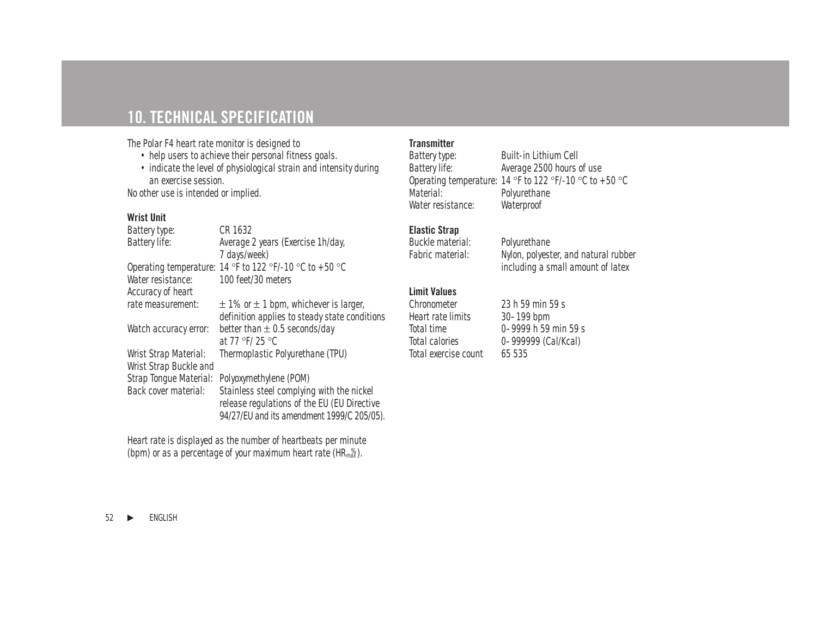# **10. TECHNICAL SPECIFICATION**

The Polar F4 heart rate monitor is designed to

- help users to achieve their personal fitness goals.
- indicate the level of physiological strain and intensity during an exercise session.

No other use is intended or implied.

### **Wrist Unit**

| Battery type:          | CR 1632                                                 |
|------------------------|---------------------------------------------------------|
| Battery life:          | Average 2 years (Exercise 1h/day,                       |
|                        | 7 days/week)                                            |
|                        | Operating temperature: 14 °F to 122 °F/-10 °C to +50 °C |
| Water resistance:      | 100 feet/30 meters                                      |
| Accuracy of heart      |                                                         |
| rate measurement:      | $\pm$ 1% or $\pm$ 1 bpm, whichever is larger,           |
|                        | definition applies to steady state conditions           |
| Watch accuracy error:  | better than $\pm$ 0.5 seconds/day                       |
|                        | at 77 °F/ 25 °C                                         |
| Wrist Strap Material:  | Thermoplastic Polyurethane (TPU)                        |
| Wrist Strap Buckle and |                                                         |
| Strap Tonque Material: | Polyoxymethylene (POM)                                  |
| Back cover material:   | Stainless steel complying with the nickel               |
|                        | release regulations of the EU (EU Directive             |
|                        | 94/27/EU and its amendment 1999/C 205/05).              |
|                        |                                                         |

Heart rate is displayed as the number of heartbeats per minute (bpm) or as a percentage of your maximum heart rate  $(HR_{max}^{\%})$ .

### **Transmitter**

Battery type:<br>
Built-in Lithium Cell<br>
Battery life:<br>
Average 2500 hours Average 2500 hours of use Operating temperature:  $14^\circ$ F to  $122^\circ$ F/- $10^\circ$ C to  $+50^\circ$ C<br>Material: Polyurethane Polyurethane<br>Waterproof Water resistance:

## **Elastic Strap**

Buckle material: Polyurethane

Fabric material: Nylon, polyester, and natural rubber including a small amount of latex

## **Limit Values**

| Chronometer           |  |  |
|-----------------------|--|--|
| Heart rate limits     |  |  |
| Total time            |  |  |
| <b>Total calories</b> |  |  |
| Total exercise count  |  |  |

23 h 59 min 59 s  $30-199$  bpm  $0-9999$  h 59 min 59 s 0-999999 (Cal/Kcal) 65 535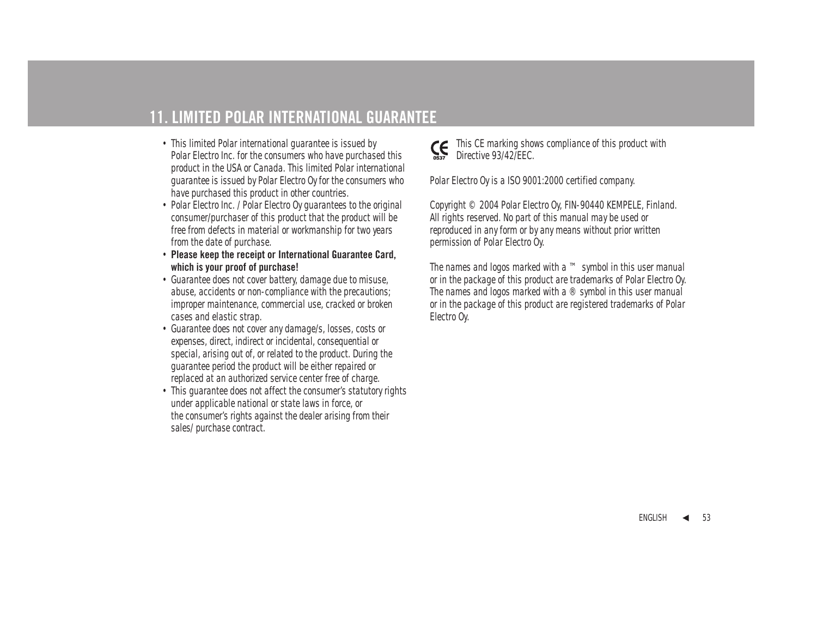# **11. LIMITED POLAR INTERNATIONAL GUARANTEE**

- This limited Polar international guarantee is issued by Polar Electro Inc. for the consumers who have purchased this product in the USA or Canada. This limited Polar international guarantee is issued by Polar Electro Oy for the consumers who have purchased this product in other countries.
- Polar Electro Inc. / Polar Electro Oy guarantees to the original consumer/purchaser of this product that the product will be free from defects in material or workmanship for two years from the date of purchase.
- **Please keep the receipt or International Guarantee Card, which is your proof of purchase!**
- Guarantee does not cover battery, damage due to misuse, abuse, accidents or non-compliance with the precautions; improper maintenance, commercial use, cracked or broken cases and elastic strap.
- Guarantee does not cover any damage/s, losses, costs or expenses, direct, indirect or incidental, consequential or special, arising out of, or related to the product. During the guarantee period the product will be either repaired or replaced at an authorized service center free of charge.
- This quarantee does not affect the consumer's statutory rights under applicable national or state laws in force, or the consumer's rights against the dealer arising from their sales/ purchase contract.



This CE marking shows compliance of this product with Directive 93/42/EEC.

Polar Electro Oy is a ISO 9001:2000 certified company.

Copyright © 2004 Polar Electro Oy, FIN-90440 KEMPELE, Finland. All rights reserved. No part of this manual may be used or reproduced in any form or by any means without prior written permission of Polar Electro Oy.

The names and logos marked with a ™ symbol in this user manual or in the package of this product are trademarks of Polar Electro Oy. The names and logos marked with a ® symbol in this user manual or in the package of this product are registered trademarks of Polar Electro Oy.